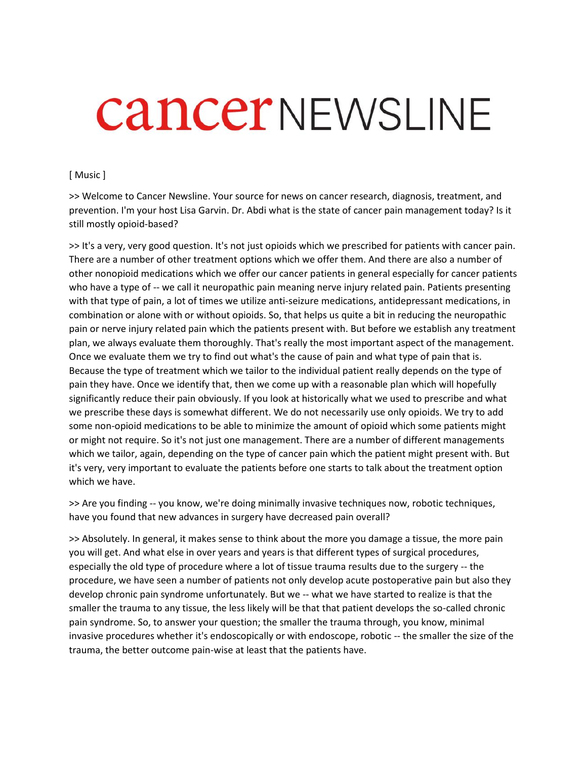## **CancerNEWSLINE**

## [ Music ]

>> Welcome to Cancer Newsline. Your source for news on cancer research, diagnosis, treatment, and prevention. I'm your host Lisa Garvin. Dr. Abdi what is the state of cancer pain management today? Is it still mostly opioid-based?

>> It's a very, very good question. It's not just opioids which we prescribed for patients with cancer pain. There are a number of other treatment options which we offer them. And there are also a number of other nonopioid medications which we offer our cancer patients in general especially for cancer patients who have a type of -- we call it neuropathic pain meaning nerve injury related pain. Patients presenting with that type of pain, a lot of times we utilize anti-seizure medications, antidepressant medications, in combination or alone with or without opioids. So, that helps us quite a bit in reducing the neuropathic pain or nerve injury related pain which the patients present with. But before we establish any treatment plan, we always evaluate them thoroughly. That's really the most important aspect of the management. Once we evaluate them we try to find out what's the cause of pain and what type of pain that is. Because the type of treatment which we tailor to the individual patient really depends on the type of pain they have. Once we identify that, then we come up with a reasonable plan which will hopefully significantly reduce their pain obviously. If you look at historically what we used to prescribe and what we prescribe these days is somewhat different. We do not necessarily use only opioids. We try to add some non-opioid medications to be able to minimize the amount of opioid which some patients might or might not require. So it's not just one management. There are a number of different managements which we tailor, again, depending on the type of cancer pain which the patient might present with. But it's very, very important to evaluate the patients before one starts to talk about the treatment option which we have.

>> Are you finding -- you know, we're doing minimally invasive techniques now, robotic techniques, have you found that new advances in surgery have decreased pain overall?

>> Absolutely. In general, it makes sense to think about the more you damage a tissue, the more pain you will get. And what else in over years and years is that different types of surgical procedures, especially the old type of procedure where a lot of tissue trauma results due to the surgery -- the procedure, we have seen a number of patients not only develop acute postoperative pain but also they develop chronic pain syndrome unfortunately. But we -- what we have started to realize is that the smaller the trauma to any tissue, the less likely will be that that patient develops the so-called chronic pain syndrome. So, to answer your question; the smaller the trauma through, you know, minimal invasive procedures whether it's endoscopically or with endoscope, robotic -- the smaller the size of the trauma, the better outcome pain-wise at least that the patients have.